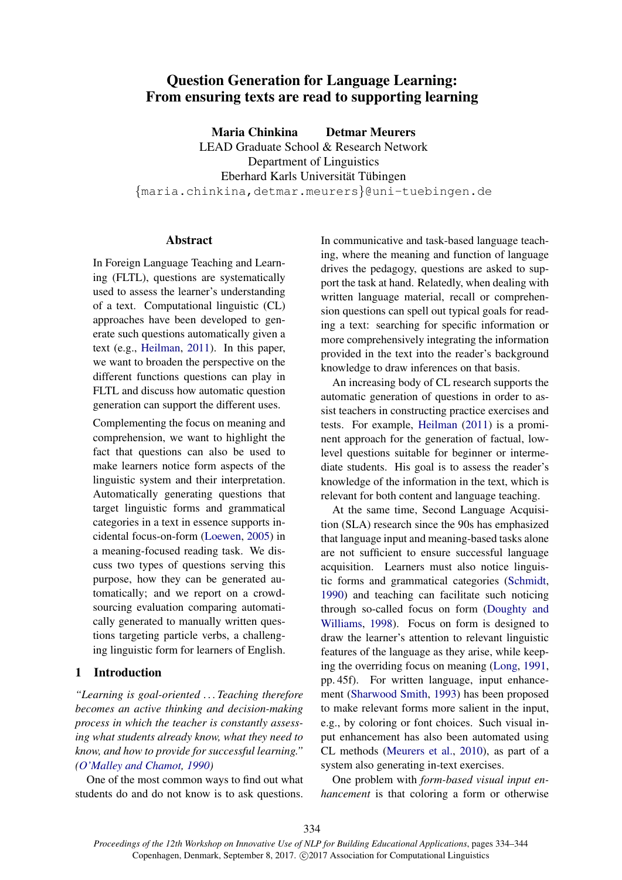# Question Generation for Language Learning: From ensuring texts are read to supporting learning

Maria Chinkina Detmar Meurers

LEAD Graduate School & Research Network Department of Linguistics Eberhard Karls Universität Tübingen {maria.chinkina,detmar.meurers}@uni-tuebingen.de

### Abstract

In Foreign Language Teaching and Learning (FLTL), questions are systematically used to assess the learner's understanding of a text. Computational linguistic (CL) approaches have been developed to generate such questions automatically given a text (e.g., Heilman, 2011). In this paper, we want to broaden the perspective on the different functions questions can play in FLTL and discuss how automatic question generation can support the different uses.

Complementing the focus on meaning and comprehension, we want to highlight the fact that questions can also be used to make learners notice form aspects of the linguistic system and their interpretation. Automatically generating questions that target linguistic forms and grammatical categories in a text in essence supports incidental focus-on-form (Loewen, 2005) in a meaning-focused reading task. We discuss two types of questions serving this purpose, how they can be generated automatically; and we report on a crowdsourcing evaluation comparing automatically generated to manually written questions targeting particle verbs, a challenging linguistic form for learners of English.

# 1 Introduction

*"Learning is goal-oriented . . . Teaching therefore becomes an active thinking and decision-making process in which the teacher is constantly assessing what students already know, what they need to know, and how to provide for successful learning." (O'Malley and Chamot, 1990)*

One of the most common ways to find out what students do and do not know is to ask questions.

In communicative and task-based language teaching, where the meaning and function of language drives the pedagogy, questions are asked to support the task at hand. Relatedly, when dealing with written language material, recall or comprehension questions can spell out typical goals for reading a text: searching for specific information or more comprehensively integrating the information provided in the text into the reader's background knowledge to draw inferences on that basis.

An increasing body of CL research supports the automatic generation of questions in order to assist teachers in constructing practice exercises and tests. For example, Heilman (2011) is a prominent approach for the generation of factual, lowlevel questions suitable for beginner or intermediate students. His goal is to assess the reader's knowledge of the information in the text, which is relevant for both content and language teaching.

At the same time, Second Language Acquisition (SLA) research since the 90s has emphasized that language input and meaning-based tasks alone are not sufficient to ensure successful language acquisition. Learners must also notice linguistic forms and grammatical categories (Schmidt, 1990) and teaching can facilitate such noticing through so-called focus on form (Doughty and Williams, 1998). Focus on form is designed to draw the learner's attention to relevant linguistic features of the language as they arise, while keeping the overriding focus on meaning (Long, 1991, pp. 45f). For written language, input enhancement (Sharwood Smith, 1993) has been proposed to make relevant forms more salient in the input, e.g., by coloring or font choices. Such visual input enhancement has also been automated using CL methods (Meurers et al., 2010), as part of a system also generating in-text exercises.

One problem with *form-based visual input enhancement* is that coloring a form or otherwise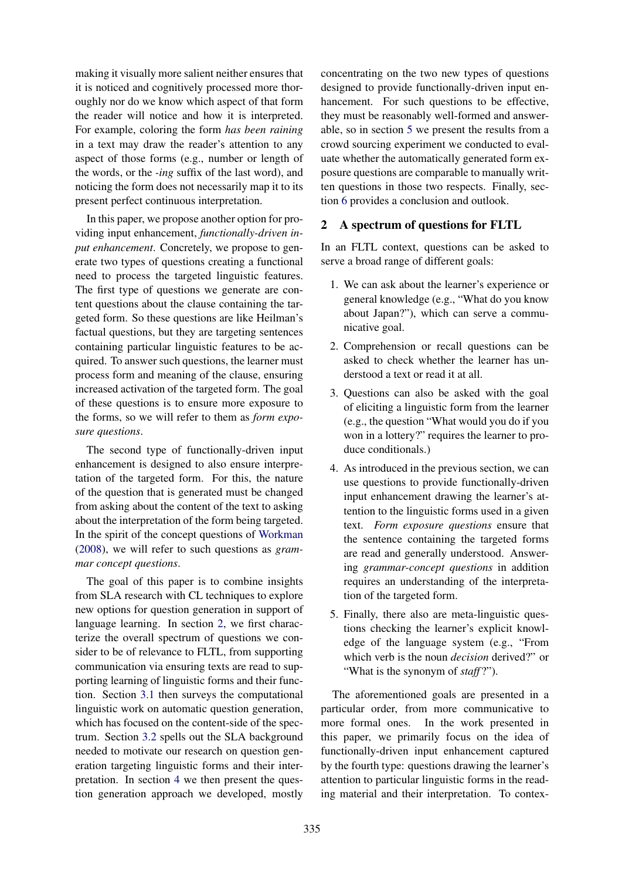making it visually more salient neither ensures that it is noticed and cognitively processed more thoroughly nor do we know which aspect of that form the reader will notice and how it is interpreted. For example, coloring the form *has been raining* in a text may draw the reader's attention to any aspect of those forms (e.g., number or length of the words, or the *-ing* suffix of the last word), and noticing the form does not necessarily map it to its present perfect continuous interpretation.

In this paper, we propose another option for providing input enhancement, *functionally-driven input enhancement*. Concretely, we propose to generate two types of questions creating a functional need to process the targeted linguistic features. The first type of questions we generate are content questions about the clause containing the targeted form. So these questions are like Heilman's factual questions, but they are targeting sentences containing particular linguistic features to be acquired. To answer such questions, the learner must process form and meaning of the clause, ensuring increased activation of the targeted form. The goal of these questions is to ensure more exposure to the forms, so we will refer to them as *form exposure questions*.

The second type of functionally-driven input enhancement is designed to also ensure interpretation of the targeted form. For this, the nature of the question that is generated must be changed from asking about the content of the text to asking about the interpretation of the form being targeted. In the spirit of the concept questions of Workman (2008), we will refer to such questions as *grammar concept questions*.

The goal of this paper is to combine insights from SLA research with CL techniques to explore new options for question generation in support of language learning. In section 2, we first characterize the overall spectrum of questions we consider to be of relevance to FLTL, from supporting communication via ensuring texts are read to supporting learning of linguistic forms and their function. Section 3.1 then surveys the computational linguistic work on automatic question generation, which has focused on the content-side of the spectrum. Section 3.2 spells out the SLA background needed to motivate our research on question generation targeting linguistic forms and their interpretation. In section 4 we then present the question generation approach we developed, mostly

concentrating on the two new types of questions designed to provide functionally-driven input enhancement. For such questions to be effective, they must be reasonably well-formed and answerable, so in section 5 we present the results from a crowd sourcing experiment we conducted to evaluate whether the automatically generated form exposure questions are comparable to manually written questions in those two respects. Finally, section 6 provides a conclusion and outlook.

# 2 A spectrum of questions for FLTL

In an FLTL context, questions can be asked to serve a broad range of different goals:

- 1. We can ask about the learner's experience or general knowledge (e.g., "What do you know about Japan?"), which can serve a communicative goal.
- 2. Comprehension or recall questions can be asked to check whether the learner has understood a text or read it at all.
- 3. Questions can also be asked with the goal of eliciting a linguistic form from the learner (e.g., the question "What would you do if you won in a lottery?" requires the learner to produce conditionals.)
- 4. As introduced in the previous section, we can use questions to provide functionally-driven input enhancement drawing the learner's attention to the linguistic forms used in a given text. *Form exposure questions* ensure that the sentence containing the targeted forms are read and generally understood. Answering *grammar-concept questions* in addition requires an understanding of the interpretation of the targeted form.
- 5. Finally, there also are meta-linguistic questions checking the learner's explicit knowledge of the language system (e.g., "From which verb is the noun *decision* derived?" or "What is the synonym of *staff* ?").

The aforementioned goals are presented in a particular order, from more communicative to more formal ones. In the work presented in this paper, we primarily focus on the idea of functionally-driven input enhancement captured by the fourth type: questions drawing the learner's attention to particular linguistic forms in the reading material and their interpretation. To contex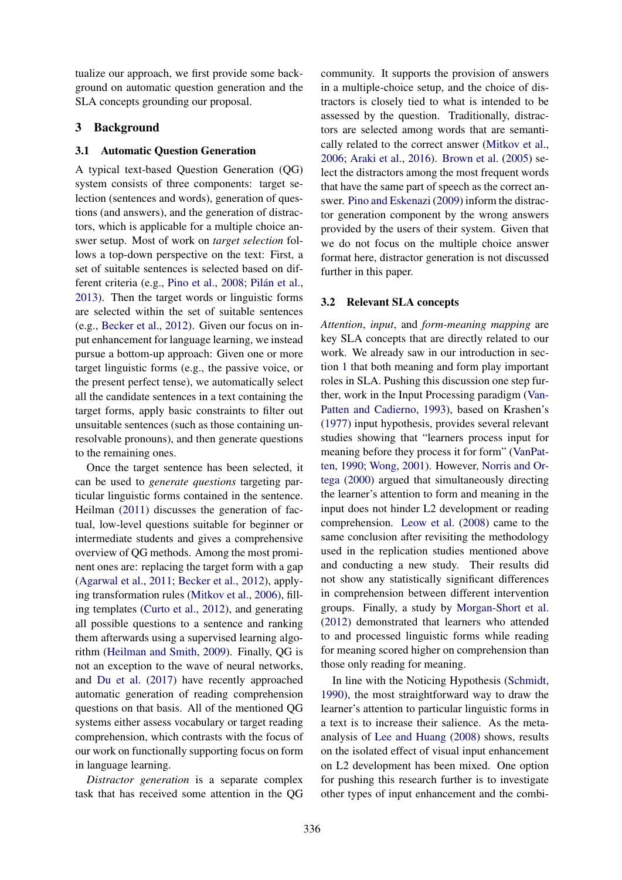tualize our approach, we first provide some background on automatic question generation and the SLA concepts grounding our proposal.

# 3 Background

### 3.1 Automatic Question Generation

A typical text-based Question Generation (QG) system consists of three components: target selection (sentences and words), generation of questions (and answers), and the generation of distractors, which is applicable for a multiple choice answer setup. Most of work on *target selection* follows a top-down perspective on the text: First, a set of suitable sentences is selected based on different criteria (e.g., Pino et al., 2008; Pilán et al., 2013). Then the target words or linguistic forms are selected within the set of suitable sentences (e.g., Becker et al., 2012). Given our focus on input enhancement for language learning, we instead pursue a bottom-up approach: Given one or more target linguistic forms (e.g., the passive voice, or the present perfect tense), we automatically select all the candidate sentences in a text containing the target forms, apply basic constraints to filter out unsuitable sentences (such as those containing unresolvable pronouns), and then generate questions to the remaining ones.

Once the target sentence has been selected, it can be used to *generate questions* targeting particular linguistic forms contained in the sentence. Heilman (2011) discusses the generation of factual, low-level questions suitable for beginner or intermediate students and gives a comprehensive overview of QG methods. Among the most prominent ones are: replacing the target form with a gap (Agarwal et al., 2011; Becker et al., 2012), applying transformation rules (Mitkov et al., 2006), filling templates (Curto et al., 2012), and generating all possible questions to a sentence and ranking them afterwards using a supervised learning algorithm (Heilman and Smith, 2009). Finally, QG is not an exception to the wave of neural networks, and Du et al. (2017) have recently approached automatic generation of reading comprehension questions on that basis. All of the mentioned QG systems either assess vocabulary or target reading comprehension, which contrasts with the focus of our work on functionally supporting focus on form in language learning.

*Distractor generation* is a separate complex task that has received some attention in the QG

community. It supports the provision of answers in a multiple-choice setup, and the choice of distractors is closely tied to what is intended to be assessed by the question. Traditionally, distractors are selected among words that are semantically related to the correct answer (Mitkov et al., 2006; Araki et al., 2016). Brown et al. (2005) select the distractors among the most frequent words that have the same part of speech as the correct answer. Pino and Eskenazi (2009) inform the distractor generation component by the wrong answers provided by the users of their system. Given that we do not focus on the multiple choice answer format here, distractor generation is not discussed further in this paper.

### 3.2 Relevant SLA concepts

*Attention*, *input*, and *form-meaning mapping* are key SLA concepts that are directly related to our work. We already saw in our introduction in section 1 that both meaning and form play important roles in SLA. Pushing this discussion one step further, work in the Input Processing paradigm (Van-Patten and Cadierno, 1993), based on Krashen's (1977) input hypothesis, provides several relevant studies showing that "learners process input for meaning before they process it for form" (VanPatten, 1990; Wong, 2001). However, Norris and Ortega (2000) argued that simultaneously directing the learner's attention to form and meaning in the input does not hinder L2 development or reading comprehension. Leow et al. (2008) came to the same conclusion after revisiting the methodology used in the replication studies mentioned above and conducting a new study. Their results did not show any statistically significant differences in comprehension between different intervention groups. Finally, a study by Morgan-Short et al. (2012) demonstrated that learners who attended to and processed linguistic forms while reading for meaning scored higher on comprehension than those only reading for meaning.

In line with the Noticing Hypothesis (Schmidt, 1990), the most straightforward way to draw the learner's attention to particular linguistic forms in a text is to increase their salience. As the metaanalysis of Lee and Huang (2008) shows, results on the isolated effect of visual input enhancement on L2 development has been mixed. One option for pushing this research further is to investigate other types of input enhancement and the combi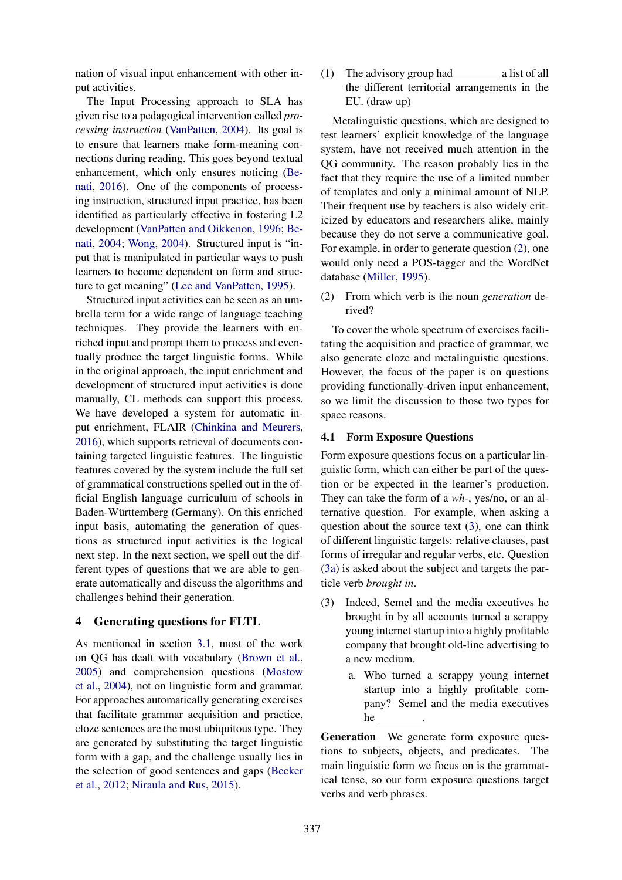nation of visual input enhancement with other input activities.

The Input Processing approach to SLA has given rise to a pedagogical intervention called *processing instruction* (VanPatten, 2004). Its goal is to ensure that learners make form-meaning connections during reading. This goes beyond textual enhancement, which only ensures noticing (Benati, 2016). One of the components of processing instruction, structured input practice, has been identified as particularly effective in fostering L2 development (VanPatten and Oikkenon, 1996; Benati, 2004; Wong, 2004). Structured input is "input that is manipulated in particular ways to push learners to become dependent on form and structure to get meaning" (Lee and VanPatten, 1995).

Structured input activities can be seen as an umbrella term for a wide range of language teaching techniques. They provide the learners with enriched input and prompt them to process and eventually produce the target linguistic forms. While in the original approach, the input enrichment and development of structured input activities is done manually, CL methods can support this process. We have developed a system for automatic input enrichment, FLAIR (Chinkina and Meurers, 2016), which supports retrieval of documents containing targeted linguistic features. The linguistic features covered by the system include the full set of grammatical constructions spelled out in the official English language curriculum of schools in Baden-Württemberg (Germany). On this enriched input basis, automating the generation of questions as structured input activities is the logical next step. In the next section, we spell out the different types of questions that we are able to generate automatically and discuss the algorithms and challenges behind their generation.

## 4 Generating questions for FLTL

As mentioned in section 3.1, most of the work on QG has dealt with vocabulary (Brown et al., 2005) and comprehension questions (Mostow et al., 2004), not on linguistic form and grammar. For approaches automatically generating exercises that facilitate grammar acquisition and practice, cloze sentences are the most ubiquitous type. They are generated by substituting the target linguistic form with a gap, and the challenge usually lies in the selection of good sentences and gaps (Becker et al., 2012; Niraula and Rus, 2015).

(1) The advisory group had a list of all the different territorial arrangements in the EU. (draw up)

Metalinguistic questions, which are designed to test learners' explicit knowledge of the language system, have not received much attention in the QG community. The reason probably lies in the fact that they require the use of a limited number of templates and only a minimal amount of NLP. Their frequent use by teachers is also widely criticized by educators and researchers alike, mainly because they do not serve a communicative goal. For example, in order to generate question (2), one would only need a POS-tagger and the WordNet database (Miller, 1995).

(2) From which verb is the noun *generation* derived?

To cover the whole spectrum of exercises facilitating the acquisition and practice of grammar, we also generate cloze and metalinguistic questions. However, the focus of the paper is on questions providing functionally-driven input enhancement, so we limit the discussion to those two types for space reasons.

#### 4.1 Form Exposure Questions

Form exposure questions focus on a particular linguistic form, which can either be part of the question or be expected in the learner's production. They can take the form of a *wh-*, yes/no, or an alternative question. For example, when asking a question about the source text (3), one can think of different linguistic targets: relative clauses, past forms of irregular and regular verbs, etc. Question (3a) is asked about the subject and targets the particle verb *brought in*.

- (3) Indeed, Semel and the media executives he brought in by all accounts turned a scrappy young internet startup into a highly profitable company that brought old-line advertising to a new medium.
	- a. Who turned a scrappy young internet startup into a highly profitable company? Semel and the media executives he

Generation We generate form exposure questions to subjects, objects, and predicates. The main linguistic form we focus on is the grammatical tense, so our form exposure questions target verbs and verb phrases.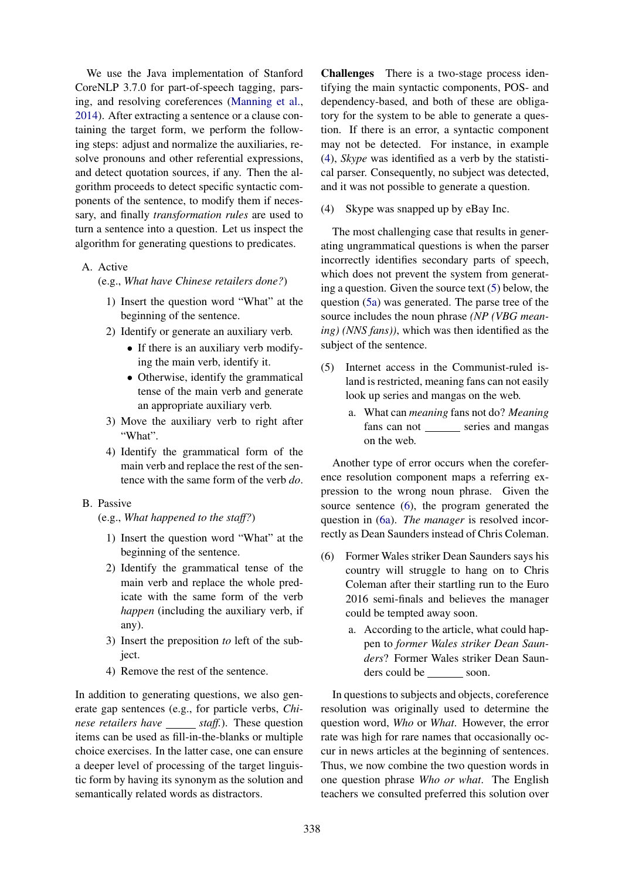We use the Java implementation of Stanford CoreNLP 3.7.0 for part-of-speech tagging, parsing, and resolving coreferences (Manning et al., 2014). After extracting a sentence or a clause containing the target form, we perform the following steps: adjust and normalize the auxiliaries, resolve pronouns and other referential expressions, and detect quotation sources, if any. Then the algorithm proceeds to detect specific syntactic components of the sentence, to modify them if necessary, and finally *transformation rules* are used to turn a sentence into a question. Let us inspect the algorithm for generating questions to predicates.

### A. Active

(e.g., *What have Chinese retailers done?*)

- 1) Insert the question word "What" at the beginning of the sentence.
- 2) Identify or generate an auxiliary verb.
	- If there is an auxiliary verb modifying the main verb, identify it.
	- Otherwise, identify the grammatical tense of the main verb and generate an appropriate auxiliary verb.
- 3) Move the auxiliary verb to right after "What".
- 4) Identify the grammatical form of the main verb and replace the rest of the sentence with the same form of the verb *do*.
- B. Passive

(e.g., *What happened to the staff?*)

- 1) Insert the question word "What" at the beginning of the sentence.
- 2) Identify the grammatical tense of the main verb and replace the whole predicate with the same form of the verb *happen* (including the auxiliary verb, if any).
- 3) Insert the preposition *to* left of the subject.
- 4) Remove the rest of the sentence.

In addition to generating questions, we also generate gap sentences (e.g., for particle verbs, *Chinese retailers have* \_\_\_\_\_\_ *staff.*). These question items can be used as fill-in-the-blanks or multiple choice exercises. In the latter case, one can ensure a deeper level of processing of the target linguistic form by having its synonym as the solution and semantically related words as distractors.

Challenges There is a two-stage process identifying the main syntactic components, POS- and dependency-based, and both of these are obligatory for the system to be able to generate a question. If there is an error, a syntactic component may not be detected. For instance, in example (4), *Skype* was identified as a verb by the statistical parser. Consequently, no subject was detected, and it was not possible to generate a question.

(4) Skype was snapped up by eBay Inc.

The most challenging case that results in generating ungrammatical questions is when the parser incorrectly identifies secondary parts of speech, which does not prevent the system from generating a question. Given the source text (5) below, the question (5a) was generated. The parse tree of the source includes the noun phrase *(NP (VBG meaning) (NNS fans))*, which was then identified as the subject of the sentence.

- (5) Internet access in the Communist-ruled island is restricted, meaning fans can not easily look up series and mangas on the web.
	- a. What can *meaning* fans not do? *Meaning* fans can not \_\_\_\_\_\_ series and mangas on the web.

Another type of error occurs when the coreference resolution component maps a referring expression to the wrong noun phrase. Given the source sentence (6), the program generated the question in (6a). *The manager* is resolved incorrectly as Dean Saunders instead of Chris Coleman.

- (6) Former Wales striker Dean Saunders says his country will struggle to hang on to Chris Coleman after their startling run to the Euro 2016 semi-finals and believes the manager could be tempted away soon.
	- a. According to the article, what could happen to *former Wales striker Dean Saunders*? Former Wales striker Dean Saunders could be soon.

In questions to subjects and objects, coreference resolution was originally used to determine the question word, *Who* or *What*. However, the error rate was high for rare names that occasionally occur in news articles at the beginning of sentences. Thus, we now combine the two question words in one question phrase *Who or what*. The English teachers we consulted preferred this solution over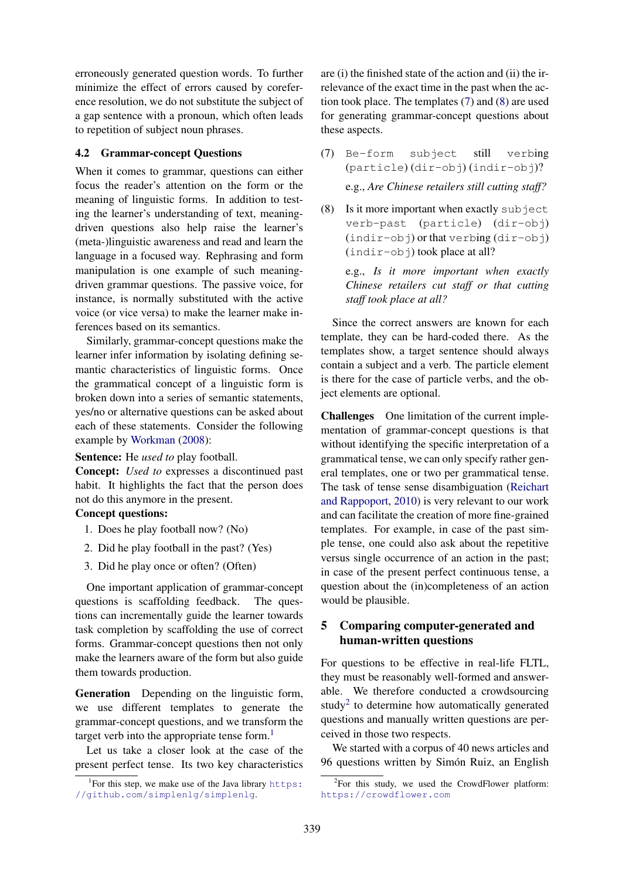erroneously generated question words. To further minimize the effect of errors caused by coreference resolution, we do not substitute the subject of a gap sentence with a pronoun, which often leads to repetition of subject noun phrases.

## 4.2 Grammar-concept Questions

When it comes to grammar, questions can either focus the reader's attention on the form or the meaning of linguistic forms. In addition to testing the learner's understanding of text, meaningdriven questions also help raise the learner's (meta-)linguistic awareness and read and learn the language in a focused way. Rephrasing and form manipulation is one example of such meaningdriven grammar questions. The passive voice, for instance, is normally substituted with the active voice (or vice versa) to make the learner make inferences based on its semantics.

Similarly, grammar-concept questions make the learner infer information by isolating defining semantic characteristics of linguistic forms. Once the grammatical concept of a linguistic form is broken down into a series of semantic statements, yes/no or alternative questions can be asked about each of these statements. Consider the following example by Workman (2008):

Sentence: He *used to* play football.

Concept: *Used to* expresses a discontinued past habit. It highlights the fact that the person does not do this anymore in the present.

# Concept questions:

- 1. Does he play football now? (No)
- 2. Did he play football in the past? (Yes)
- 3. Did he play once or often? (Often)

One important application of grammar-concept questions is scaffolding feedback. The questions can incrementally guide the learner towards task completion by scaffolding the use of correct forms. Grammar-concept questions then not only make the learners aware of the form but also guide them towards production.

Generation Depending on the linguistic form, we use different templates to generate the grammar-concept questions, and we transform the target verb into the appropriate tense form. $<sup>1</sup>$ </sup>

Let us take a closer look at the case of the present perfect tense. Its two key characteristics

are (i) the finished state of the action and (ii) the irrelevance of the exact time in the past when the action took place. The templates (7) and (8) are used for generating grammar-concept questions about these aspects.

- (7) Be-form subject still verbing (particle) (dir-obj) (indir-obj)? e.g., *Are Chinese retailers still cutting staff?*
- (8) Is it more important when exactly subject verb-past (particle) (dir-obj) (indir-obj) or that verbing (dir-obj)  $(indir-obj)$  took place at all?

e.g., *Is it more important when exactly Chinese retailers cut staff or that cutting staff took place at all?*

Since the correct answers are known for each template, they can be hard-coded there. As the templates show, a target sentence should always contain a subject and a verb. The particle element is there for the case of particle verbs, and the object elements are optional.

Challenges One limitation of the current implementation of grammar-concept questions is that without identifying the specific interpretation of a grammatical tense, we can only specify rather general templates, one or two per grammatical tense. The task of tense sense disambiguation (Reichart and Rappoport, 2010) is very relevant to our work and can facilitate the creation of more fine-grained templates. For example, in case of the past simple tense, one could also ask about the repetitive versus single occurrence of an action in the past; in case of the present perfect continuous tense, a question about the (in)completeness of an action would be plausible.

# 5 Comparing computer-generated and human-written questions

For questions to be effective in real-life FLTL, they must be reasonably well-formed and answerable. We therefore conducted a crowdsourcing study<sup>2</sup> to determine how automatically generated questions and manually written questions are perceived in those two respects.

We started with a corpus of 40 news articles and 96 questions written by Simón Ruiz, an English

<sup>&</sup>lt;sup>1</sup>For this step, we make use of the Java library https: //github.com/simplenlg/simplenlg.

 ${}^{2}$ For this study, we used the CrowdFlower platform: https://crowdflower.com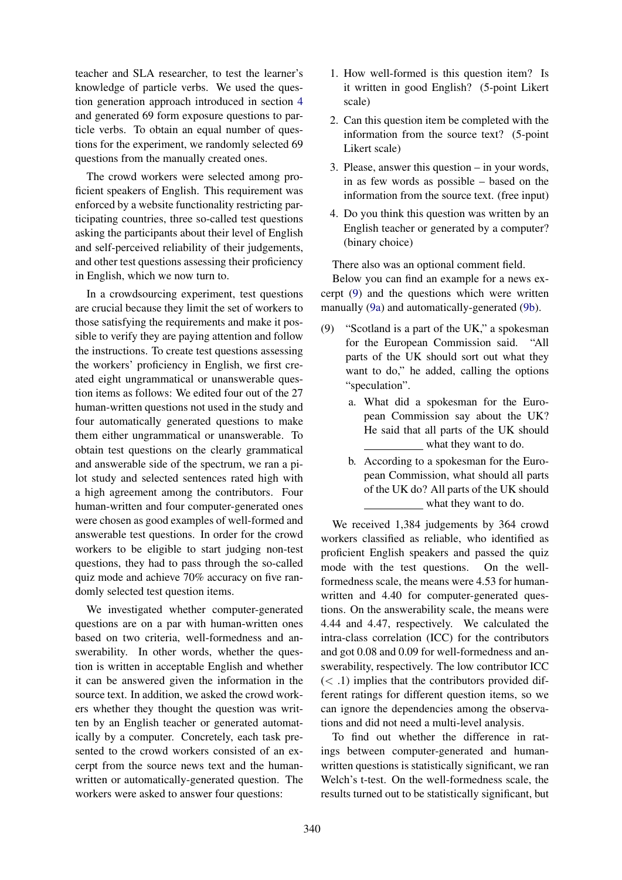teacher and SLA researcher, to test the learner's knowledge of particle verbs. We used the question generation approach introduced in section 4 and generated 69 form exposure questions to particle verbs. To obtain an equal number of questions for the experiment, we randomly selected 69 questions from the manually created ones.

The crowd workers were selected among proficient speakers of English. This requirement was enforced by a website functionality restricting participating countries, three so-called test questions asking the participants about their level of English and self-perceived reliability of their judgements, and other test questions assessing their proficiency in English, which we now turn to.

In a crowdsourcing experiment, test questions are crucial because they limit the set of workers to those satisfying the requirements and make it possible to verify they are paying attention and follow the instructions. To create test questions assessing the workers' proficiency in English, we first created eight ungrammatical or unanswerable question items as follows: We edited four out of the 27 human-written questions not used in the study and four automatically generated questions to make them either ungrammatical or unanswerable. To obtain test questions on the clearly grammatical and answerable side of the spectrum, we ran a pilot study and selected sentences rated high with a high agreement among the contributors. Four human-written and four computer-generated ones were chosen as good examples of well-formed and answerable test questions. In order for the crowd workers to be eligible to start judging non-test questions, they had to pass through the so-called quiz mode and achieve 70% accuracy on five randomly selected test question items.

We investigated whether computer-generated questions are on a par with human-written ones based on two criteria, well-formedness and answerability. In other words, whether the question is written in acceptable English and whether it can be answered given the information in the source text. In addition, we asked the crowd workers whether they thought the question was written by an English teacher or generated automatically by a computer. Concretely, each task presented to the crowd workers consisted of an excerpt from the source news text and the humanwritten or automatically-generated question. The workers were asked to answer four questions:

- 1. How well-formed is this question item? Is it written in good English? (5-point Likert scale)
- 2. Can this question item be completed with the information from the source text? (5-point Likert scale)
- 3. Please, answer this question in your words, in as few words as possible – based on the information from the source text. (free input)
- 4. Do you think this question was written by an English teacher or generated by a computer? (binary choice)

There also was an optional comment field.

Below you can find an example for a news excerpt (9) and the questions which were written manually (9a) and automatically-generated (9b).

- (9) "Scotland is a part of the UK," a spokesman for the European Commission said. "All parts of the UK should sort out what they want to do," he added, calling the options "speculation".
	- a. What did a spokesman for the European Commission say about the UK? He said that all parts of the UK should what they want to do.
	- b. According to a spokesman for the European Commission, what should all parts of the UK do? All parts of the UK should what they want to do.

We received 1,384 judgements by 364 crowd workers classified as reliable, who identified as proficient English speakers and passed the quiz mode with the test questions. On the wellformedness scale, the means were 4.53 for humanwritten and 4.40 for computer-generated questions. On the answerability scale, the means were 4.44 and 4.47, respectively. We calculated the intra-class correlation (ICC) for the contributors and got 0.08 and 0.09 for well-formedness and answerability, respectively. The low contributor ICC  $(< .1)$  implies that the contributors provided different ratings for different question items, so we can ignore the dependencies among the observations and did not need a multi-level analysis.

To find out whether the difference in ratings between computer-generated and humanwritten questions is statistically significant, we ran Welch's t-test. On the well-formedness scale, the results turned out to be statistically significant, but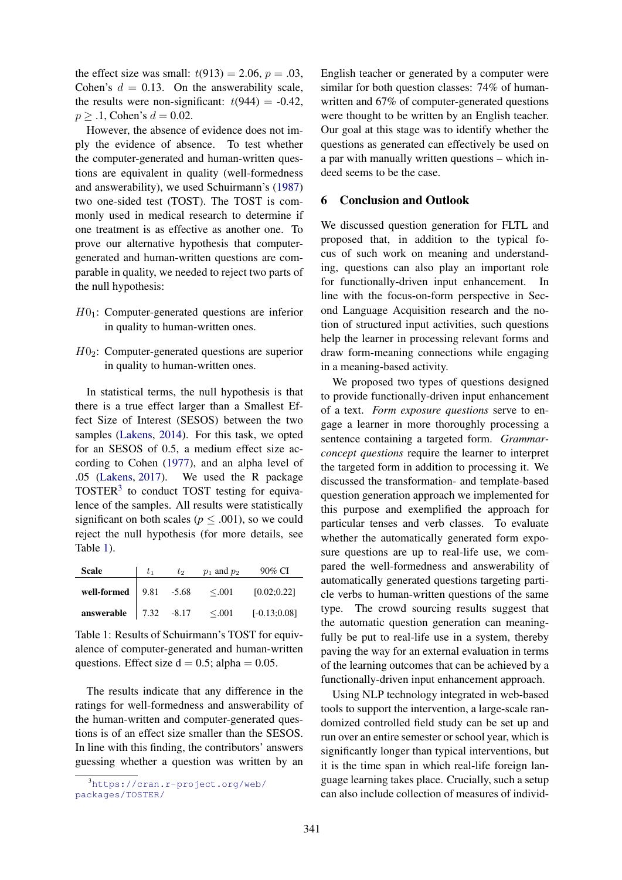the effect size was small:  $t(913) = 2.06$ ,  $p = .03$ , Cohen's  $d = 0.13$ . On the answerability scale, the results were non-significant:  $t(944) = -0.42$ ,  $p \geq 0.1$ , Cohen's  $d = 0.02$ .

However, the absence of evidence does not imply the evidence of absence. To test whether the computer-generated and human-written questions are equivalent in quality (well-formedness and answerability), we used Schuirmann's (1987) two one-sided test (TOST). The TOST is commonly used in medical research to determine if one treatment is as effective as another one. To prove our alternative hypothesis that computergenerated and human-written questions are comparable in quality, we needed to reject two parts of the null hypothesis:

- $H0_1$ : Computer-generated questions are inferior in quality to human-written ones.
- $H0<sub>2</sub>$ : Computer-generated questions are superior in quality to human-written ones.

In statistical terms, the null hypothesis is that there is a true effect larger than a Smallest Effect Size of Interest (SESOS) between the two samples (Lakens, 2014). For this task, we opted for an SESOS of 0.5, a medium effect size according to Cohen (1977), and an alpha level of .05 (Lakens, 2017). We used the R package TOSTER<sup>3</sup> to conduct TOST testing for equivalence of the samples. All results were statistically significant on both scales ( $p \leq .001$ ), so we could reject the null hypothesis (for more details, see Table 1).

| <b>Scale</b>                                             | t1 | $t_2$ | $p_1$ and $p_2$ | 90% CI         |
|----------------------------------------------------------|----|-------|-----------------|----------------|
| well-formed $\begin{array}{ l} 9.81 & -5.68 \end{array}$ |    |       | < 0.001         | [0.02; 0.22]   |
| answerable $\begin{vmatrix} 7.32 & -8.17 \end{vmatrix}$  |    |       | < 0.001         | $[-0.13;0.08]$ |

Table 1: Results of Schuirmann's TOST for equivalence of computer-generated and human-written questions. Effect size  $d = 0.5$ ; alpha = 0.05.

The results indicate that any difference in the ratings for well-formedness and answerability of the human-written and computer-generated questions is of an effect size smaller than the SESOS. In line with this finding, the contributors' answers guessing whether a question was written by an

English teacher or generated by a computer were similar for both question classes: 74% of humanwritten and 67% of computer-generated questions were thought to be written by an English teacher. Our goal at this stage was to identify whether the questions as generated can effectively be used on a par with manually written questions – which indeed seems to be the case.

### 6 Conclusion and Outlook

We discussed question generation for FLTL and proposed that, in addition to the typical focus of such work on meaning and understanding, questions can also play an important role for functionally-driven input enhancement. In line with the focus-on-form perspective in Second Language Acquisition research and the notion of structured input activities, such questions help the learner in processing relevant forms and draw form-meaning connections while engaging in a meaning-based activity.

We proposed two types of questions designed to provide functionally-driven input enhancement of a text. *Form exposure questions* serve to engage a learner in more thoroughly processing a sentence containing a targeted form. *Grammarconcept questions* require the learner to interpret the targeted form in addition to processing it. We discussed the transformation- and template-based question generation approach we implemented for this purpose and exemplified the approach for particular tenses and verb classes. To evaluate whether the automatically generated form exposure questions are up to real-life use, we compared the well-formedness and answerability of automatically generated questions targeting particle verbs to human-written questions of the same type. The crowd sourcing results suggest that the automatic question generation can meaningfully be put to real-life use in a system, thereby paving the way for an external evaluation in terms of the learning outcomes that can be achieved by a functionally-driven input enhancement approach.

Using NLP technology integrated in web-based tools to support the intervention, a large-scale randomized controlled field study can be set up and run over an entire semester or school year, which is significantly longer than typical interventions, but it is the time span in which real-life foreign language learning takes place. Crucially, such a setup can also include collection of measures of individ-

<sup>3</sup>https://cran.r-project.org/web/ packages/TOSTER/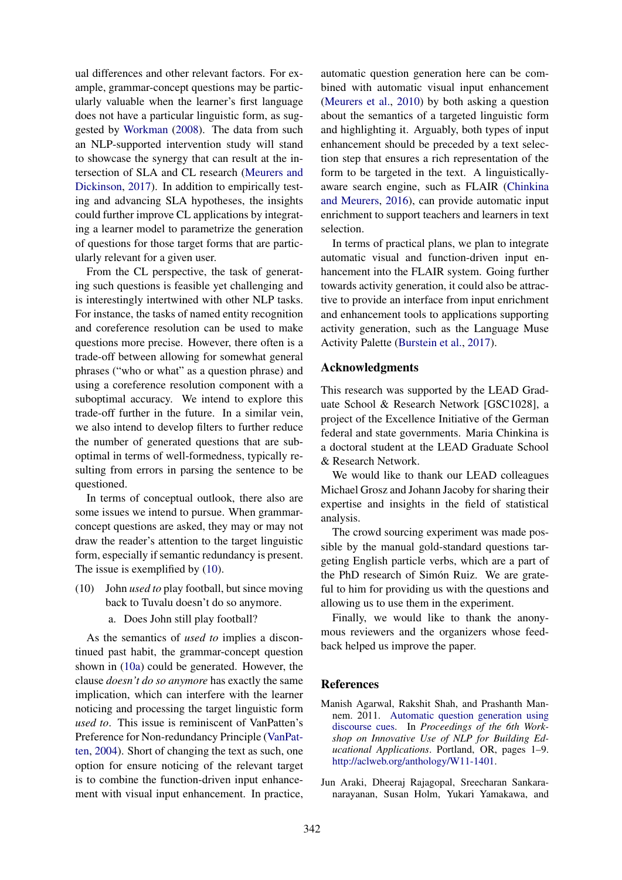ual differences and other relevant factors. For example, grammar-concept questions may be particularly valuable when the learner's first language does not have a particular linguistic form, as suggested by Workman (2008). The data from such an NLP-supported intervention study will stand to showcase the synergy that can result at the intersection of SLA and CL research (Meurers and Dickinson, 2017). In addition to empirically testing and advancing SLA hypotheses, the insights could further improve CL applications by integrating a learner model to parametrize the generation of questions for those target forms that are particularly relevant for a given user.

From the CL perspective, the task of generating such questions is feasible yet challenging and is interestingly intertwined with other NLP tasks. For instance, the tasks of named entity recognition and coreference resolution can be used to make questions more precise. However, there often is a trade-off between allowing for somewhat general phrases ("who or what" as a question phrase) and using a coreference resolution component with a suboptimal accuracy. We intend to explore this trade-off further in the future. In a similar vein, we also intend to develop filters to further reduce the number of generated questions that are suboptimal in terms of well-formedness, typically resulting from errors in parsing the sentence to be questioned.

In terms of conceptual outlook, there also are some issues we intend to pursue. When grammarconcept questions are asked, they may or may not draw the reader's attention to the target linguistic form, especially if semantic redundancy is present. The issue is exemplified by  $(10)$ .

- (10) John *used to* play football, but since moving back to Tuvalu doesn't do so anymore.
	- a. Does John still play football?

As the semantics of *used to* implies a discontinued past habit, the grammar-concept question shown in (10a) could be generated. However, the clause *doesn't do so anymore* has exactly the same implication, which can interfere with the learner noticing and processing the target linguistic form *used to*. This issue is reminiscent of VanPatten's Preference for Non-redundancy Principle (VanPatten, 2004). Short of changing the text as such, one option for ensure noticing of the relevant target is to combine the function-driven input enhancement with visual input enhancement. In practice,

automatic question generation here can be combined with automatic visual input enhancement (Meurers et al., 2010) by both asking a question about the semantics of a targeted linguistic form and highlighting it. Arguably, both types of input enhancement should be preceded by a text selection step that ensures a rich representation of the form to be targeted in the text. A linguisticallyaware search engine, such as FLAIR (Chinkina and Meurers, 2016), can provide automatic input enrichment to support teachers and learners in text selection.

In terms of practical plans, we plan to integrate automatic visual and function-driven input enhancement into the FLAIR system. Going further towards activity generation, it could also be attractive to provide an interface from input enrichment and enhancement tools to applications supporting activity generation, such as the Language Muse Activity Palette (Burstein et al., 2017).

#### Acknowledgments

This research was supported by the LEAD Graduate School & Research Network [GSC1028], a project of the Excellence Initiative of the German federal and state governments. Maria Chinkina is a doctoral student at the LEAD Graduate School & Research Network.

We would like to thank our LEAD colleagues Michael Grosz and Johann Jacoby for sharing their expertise and insights in the field of statistical analysis.

The crowd sourcing experiment was made possible by the manual gold-standard questions targeting English particle verbs, which are a part of the PhD research of Simón Ruiz. We are grateful to him for providing us with the questions and allowing us to use them in the experiment.

Finally, we would like to thank the anonymous reviewers and the organizers whose feedback helped us improve the paper.

### **References**

- Manish Agarwal, Rakshit Shah, and Prashanth Mannem. 2011. Automatic question generation using discourse cues. In *Proceedings of the 6th Workshop on Innovative Use of NLP for Building Educational Applications*. Portland, OR, pages 1–9. http://aclweb.org/anthology/W11-1401.
- Jun Araki, Dheeraj Rajagopal, Sreecharan Sankaranarayanan, Susan Holm, Yukari Yamakawa, and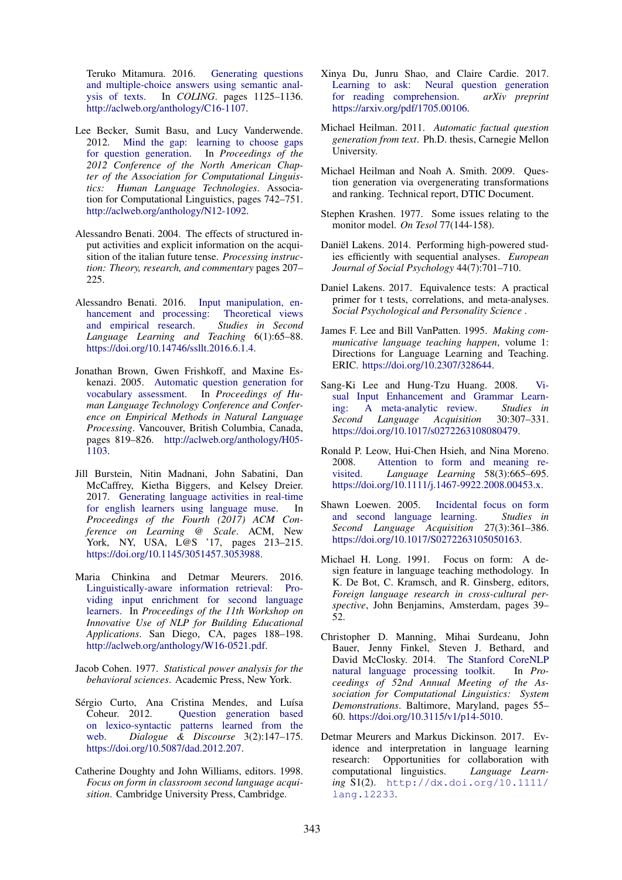Teruko Mitamura. 2016. Generating questions and multiple-choice answers using semantic analysis of texts. In *COLING*. pages 1125–1136. http://aclweb.org/anthology/C16-1107.

- Lee Becker, Sumit Basu, and Lucy Vanderwende.<br>2012. Mind the gap: learning to choose gaps Mind the gap: learning to choose gaps for question generation. In *Proceedings of the 2012 Conference of the North American Chapter of the Association for Computational Linguistics: Human Language Technologies*. Association for Computational Linguistics, pages 742–751. http://aclweb.org/anthology/N12-1092.
- Alessandro Benati. 2004. The effects of structured input activities and explicit information on the acquisition of the italian future tense. *Processing instruction: Theory, research, and commentary* pages 207– 225.
- Alessandro Benati. 2016. Input manipulation, enhancement and processing: Theoretical views<br>and empirical research. Studies in Second and empirical research. *Language Learning and Teaching* 6(1):65–88. https://doi.org/10.14746/ssllt.2016.6.1.4.
- Jonathan Brown, Gwen Frishkoff, and Maxine Eskenazi. 2005. Automatic question generation for vocabulary assessment. In *Proceedings of Human Language Technology Conference and Conference on Empirical Methods in Natural Language Processing*. Vancouver, British Columbia, Canada, pages 819–826. http://aclweb.org/anthology/H05- 1103.
- Jill Burstein, Nitin Madnani, John Sabatini, Dan McCaffrey, Kietha Biggers, and Kelsey Dreier. 2017. Generating language activities in real-time for english learners using language muse. In *Proceedings of the Fourth (2017) ACM Conference on Learning @ Scale*. ACM, New York, NY, USA, L@S '17, pages 213–215. https://doi.org/10.1145/3051457.3053988.
- Maria Chinkina and Detmar Meurers. 2016. Linguistically-aware information retrieval: Providing input enrichment for second language learners. In *Proceedings of the 11th Workshop on Innovative Use of NLP for Building Educational Applications*. San Diego, CA, pages 188–198. http://aclweb.org/anthology/W16-0521.pdf.
- Jacob Cohen. 1977. *Statistical power analysis for the behavioral sciences*. Academic Press, New York.
- Sérgio Curto, Ana Cristina Mendes, and Luísa Coheur. 2012. Question generation based on lexico-syntactic patterns learned from the web. *Dialogue & Discourse* 3(2):147–175. https://doi.org/10.5087/dad.2012.207.
- Catherine Doughty and John Williams, editors. 1998. *Focus on form in classroom second language acquisition*. Cambridge University Press, Cambridge.
- Xinya Du, Junru Shao, and Claire Cardie. 2017. Learning to ask: Neural question generation for reading comprehension. *arXiv preprint* https://arxiv.org/pdf/1705.00106.
- Michael Heilman. 2011. *Automatic factual question generation from text*. Ph.D. thesis, Carnegie Mellon University.
- Michael Heilman and Noah A. Smith. 2009. Question generation via overgenerating transformations and ranking. Technical report, DTIC Document.
- Stephen Krashen. 1977. Some issues relating to the monitor model. *On Tesol* 77(144-158).
- Daniël Lakens. 2014. Performing high-powered studies efficiently with sequential analyses. *European Journal of Social Psychology* 44(7):701–710.
- Daniel Lakens. 2017. Equivalence tests: A practical primer for t tests, correlations, and meta-analyses. *Social Psychological and Personality Science* .
- James F. Lee and Bill VanPatten. 1995. *Making communicative language teaching happen*, volume 1: Directions for Language Learning and Teaching. ERIC. https://doi.org/10.2307/328644.
- Sang-Ki Lee and Hung-Tzu Huang. 2008. Visual Input Enhancement and Grammar Learning: A meta-analytic review. *Studies in Second Language Acquisition* 30:307–331. https://doi.org/10.1017/s0272263108080479.
- Ronald P. Leow, Hui-Chen Hsieh, and Nina Moreno. 2008. Attention to form and meaning revisited. *Language Learning* 58(3):665–695. https://doi.org/10.1111/j.1467-9922.2008.00453.x.
- Shawn Loewen. 2005. Incidental focus on form and second language learning. *Studies in Second Language Acquisition* 27(3):361–386. https://doi.org/10.1017/S0272263105050163.
- Michael H. Long. 1991. Focus on form: A design feature in language teaching methodology. In K. De Bot, C. Kramsch, and R. Ginsberg, editors, *Foreign language research in cross-cultural perspective*, John Benjamins, Amsterdam, pages 39– 52.
- Christopher D. Manning, Mihai Surdeanu, John Bauer, Jenny Finkel, Steven J. Bethard, and David McClosky. 2014. The Stanford CoreNLP natural language processing toolkit. In *Proceedings of 52nd Annual Meeting of the Association for Computational Linguistics: System Demonstrations*. Baltimore, Maryland, pages 55– 60. https://doi.org/10.3115/v1/p14-5010.
- Detmar Meurers and Markus Dickinson. 2017. Evidence and interpretation in language learning research: Opportunities for collaboration with<br>computational linguistics. Language Learncomputational linguistics. *ing* S1(2). http://dx.doi.org/10.1111/ lang.12233.